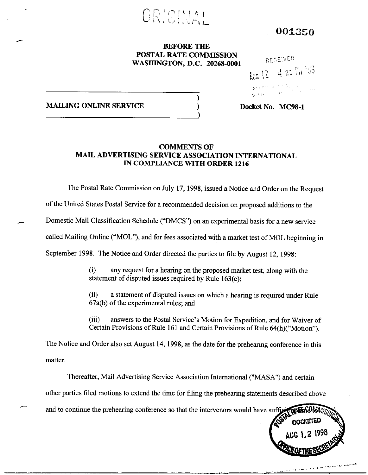

001350

# BEFORE THE POSTAL RATE COMMISSION WASHINGTON, D.C. 20268-0001

 $\lambda$ 

# RECE!VE!  $k$ ug  $12$  $421$   $\frac{111}{33}$ p^r:  $G_1$  , , , , , , ,

MAILING ONLINE SERVICE

## Docket No. MC98-1

# COMMENTS OF MAIL ADVERTISING SERVICE ASSOCIATION INTERNATIONAL IN COMPLIANCE WITH ORDER 1216

The Postal Rate Commission on July 17, 1998, issued a Notice and Order on the Request of the United States Postal Service for a recommended decision on proposed additions to the Domestic Mail Classification Schedule ("DMCS") on an experimental basis for a new service called Mailing Online ("MOL"), and for fees associated with a market test of MOL beginning in September 1998. The Notice and Order directed the parties to file by August 12, 1998:

> (9 any request for a hearing on the proposed market test, along with the statement of disputed issues required by Rule 163(e);

(ii) a statement of disputed issues on which a hearing is required under Rule 67a(b) of the experimental rules; and

(iii) answers to the Postal Service's Motion for Expedition, and for Waiver of Certain Provisions of Rule 161 and Certain Provisions of Rule 64(h)("Motion").

The Notice and Order also set August 14, 1998, as the date for the prehearing conference in this matter.

Thereafter, Mail Advertising Service Association International ("MASA") and certain other parties tiled motions to extend the time for filing the prehearing statements described above and to continue the prehearing conference so that the intervenors would have suffice

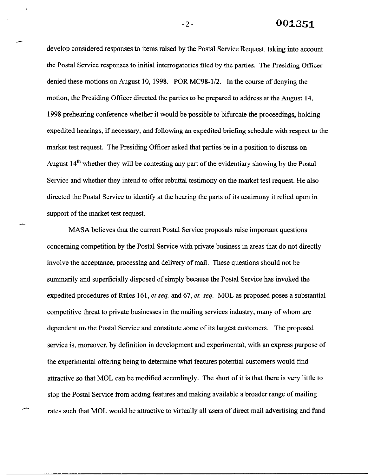-2- 001351

develop considered responses to items raised by the Postal Service Request, taking into account the Postal Service responses to initial interrogatories tiled by the parties. The Presiding Officer denied these motions on August 10, 1998. POR MC98-l/2. In the course of denying the motion, the Presiding Officer directed the parties to be prepared to address at the August 14, 1998 preheating conference whether it would be possible to bifurcate the proceedings, holding expedited hearings, if necessary, and following an expedited briefing schedule with respect to the market test request. The Presiding Officer asked that parties be in a position to discuss on August 14<sup>th</sup> whether they will be contesting any part of the evidentiary showing by the Postal Service and whether they intend to offer rebuttal testimony on the market test request. He also directed the Postal Service to identify at the hearing the parts of its testimony it relied upon in support of the market test request.

MASA believes that the current Postal Service proposals raise important questions concerning competition by the Postal Service with private business in areas that do not directly involve the acceptance, processing and delivery of mail. These questions should not be summarily and superficially disposed of simply because the Postal Service has invoked the expedited procedures of Rules 161, et seq. and 67, et. seq. MOL as proposed poses a substantial competitive threat to private businesses in the mailing services industry, many of whom are dependent on the Postal Service and constitute some of its largest customers. The proposed service is, moreover, by definition in development and experimental, with an express purpose of the experimental offering being to determine what features potential customers would find attractive so that MOL can be modified accordingly. The short of it is that there is very little to stop the Postal Service from adding features and making available a broader range of mailing rates such that MOL would be attractive to virtually all users of direct mail advertising and fund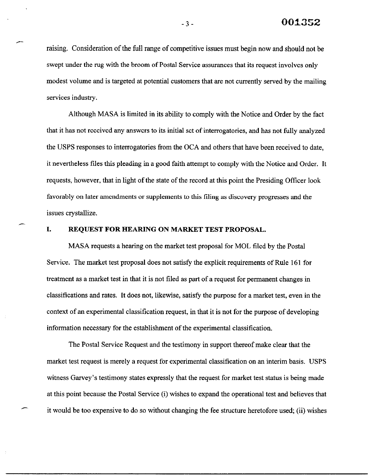raising. Consideration of the full range of competitive issues must begin now and should not be swept under the rug with the broom of Postal Service assurances that its request involves only modest volume and is targeted at potential customers that are not currently served by the mailing services industry.

Although MASA is limited in its ability to comply with the Notice and Order by the fact that it has not received any answers to its initial set of interrogatories, and has not fully analyzed the USPS responses to interrogatories from the OCA and others that have been received to date, it nevertheless files this pleading in a good faith attempt to comply with the Notice and Order. It requests, however, that in light of the state of the record at this point the Presiding Offrcer look favorably on later amendments or supplements to this tiling as discovery progresses and the issues crystallize.

### I. REQUEST FOR HEARING ON MARKET TEST PROPOSAL.

MASA requests a hearing on the market test proposal for MOL filed by the Postal Service. The market test proposal does not satisfy the explicit requirements of Rule 161 for treatment as a market test in that it is not riled as part of a request for permanent changes in classifications and rates. It does not, likewise, satisfy the purpose for a market test, even in the context of an experimental classification request, in that it is not for the purpose of developing information necessary for the establishment of the experimental classification.

The Postal Service Request and the testimony in support thereof make clear that the market test request is merely a request for experimental classification on an interim basis. USPS witness Garvey's testimony states expressly that the request for market test status is being made at this point because the Postal Service (i) wishes to expand the operational test and believes that it would be too expensive to do so without changing the fee structure heretofore used, (ii) wishes

 $-3-$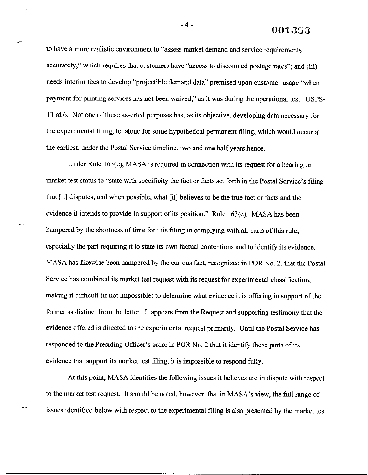001353

to have a more realistic environment to "assess market demand and service requirements accurately," which requires that customers have "access to discounted postage rates"; and (iii) needs interim fees to develop "projectible demand data" premised upon customer usage "when payment for printing services has not been waived," as it was during the operational test. USPS-Tl at 6. Not one of these asserted purposes has, as its objective, developing data necessary for the experimental filing, let alone for some hypothetical permanent tiling, which would occur at the earliest, under the Postal Service timeline, two and one half years hence.

Under Rule 163(e), MASA is required in connection with its request for a hearing on market test status to "state with specificity the fact or facts set forth in the Postal Service's tiling that [it] disputes, and when possible, what [it] believes to be the true fact or facts and the evidence it intends to provide in support of its position." Rule 163(e). MASA has been hampered by the shortness of time for this filing in complying with all parts of this rule, especially the part requiring it to state its own factual contentions and to identify its evidence. MASA has likewise been hampered by the curious fact, recognized in POR No. 2, that the Postal Service has combined its market test request with its request for experimental classification, making it difficult (if not impossible) to determine what evidence it is offering in support of the former as distinct from the latter. It appears from the Request and supporting testimony that the evidence offered is directed to the experimental request primarily. Until the Postal Service has responded to the Presiding Officer's order in POR No. 2 that it identify those parts of its evidence that support its market test filing, it is impossible to respond fully.

At this point, MASA identities the following issues it believes are in dispute with respect to the market test request. It should be noted, however, that in MASA's view, the full range of issues identified below with respect to the experimental tiling is also presented by the market test

-4-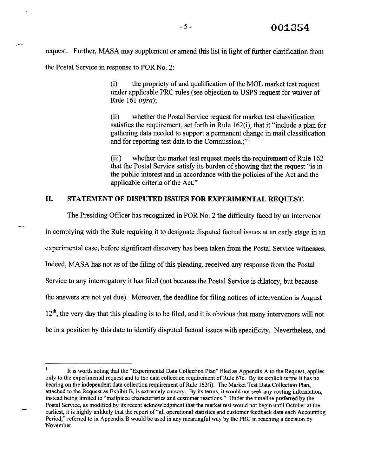request. Further, MASA may supplement or amend this list in light of further clarification from the Postal Service in response to POR No. 2:

> (i) the propriety of and qualification of the MOL market test request under applicable PRC rules (see objection to USPS request for waiver of Rule 161 infra);

(ii) whether the Postal Service request for market test classification satisfies the requirement, set forth in Rule 162(i), that it "include a plan for gathering data needed to support a permanent change in mail classification and for reporting test data to the Commission.:"<sup>1</sup>

(iii) whether the market test request meets the requirement of Rule 162 that the Postal Service satisfy its burden of showing that the request "is in the public interest and in accordance with the policies of the Act and the applicable criteria of the Act."

# II. STATEMENT OF DISPUTED ISSUES FOR EXPERIMENTAL REQUEST.

The Presiding Officer has recognized in POR No. 2 the difficulty faced by an intervenor in complying with the Rule requiring it to designate disputed factual issues at an early stage in an experimental case, before significant discovery has been taken from the Postal Service witnesses. Indeed, MASA has not as of the tiling of this pleading, received any response from the Postal Service to any interrogatory it has tiled (not because the Postal Service is dilatory, but because the answers are not yet due). Moreover, the deadline for filing notices of intervention is August  $12<sup>th</sup>$ , the very day that this pleading is to be filed, and it is obvious that many intervenors will not be in a position by this date to identify disputed factual issues with specificity. Nevertheless, and

It is worth noting that the "Experimental Data Collection Plan" filed as Appendix A to the Request, applies only to the experimental request and to the data collection requirement of Rule  $67c$ . By its explicit terms it has no bearing on the independent data collection requirement of Rule 162(i). The Market Test Data Collection Plan, attached to the Request as Exhibit B, is extremely cursory. By its terms, it would not seek any costing information, instead being limited to "mailpiece characteristics and customer reactions." Under the timeline preferred by the Postal Service, as modified by its recent acknowledgment that the market test would not begin until October at the earliest, it is highly unlikely that the report of "all operational statistics and customer feedback data each Accounting Period," referred to in Appendix B would be used in any meaningful way by the PRC in reaching a decision by November.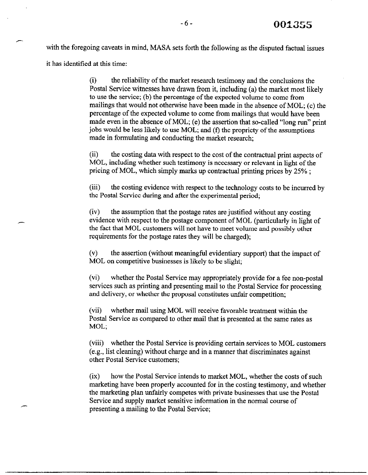with the foregoing caveats in mind, MASA sets forth the following as the disputed factual issues it has identified at this time:

> (9 the reliability of the market research testimony and the conclusions the Postal Service witnesses have drawn from it, including (a) the market most likely to use the service; (b) the percentage of the expected volume to come from mailings that would not otherwise have been made in the absence of MOL; (c) the percentage of the expected volume to come from mailings that would have been made even in the absence of MOL; (e) the assertion that so-called "long run" print jobs would be less likely to use MOL; and (f) the propriety of the assumptions made in formulating and conducting the market research;

(ii) the costing data with respect to the cost of the contractual print aspects of MOL, including whether such testimony is necessary or relevant in light of the pricing of MOL, which simply marks up contractual printing prices by 25% ;

(iii) the costing evidence with respect to the technology costs to be incurred by the Postal Service during and after the experimental period;

(iv) the assumption that the postage rates are justified without any costing evidence with respect to the postage component of MOL (particularly in light of the fact that MOL customers will not have to meet volume and possibly other requirements for the postage rates they will be charged);

 $(v)$  the assertion (without meaningful evidentiary support) that the impact of MOL on competitive businesses is likely to be slight;

(vi) whether the Postal Service may appropriately provide for a fee non-postal services such as printing and presenting mail to the Postal Service for processing and delivery, or whether the proposal constitutes unfair competition;

(vii) whether mail using MOL will receive favorable treatment within the Postal Service as compared to other mail that is presented at the same rates as MOL;

(viii) whether the Postal Service is providing certain services to MOL customers (e.g., list cleaning) without charge and in a manner that discriminates against other Postal Service customers;

(ix) how the Postal Service intends to market MOL, whether the costs of such marketing have been properly accounted for in the costing testimony, and whether the marketing plan unfairly competes with private businesses that use the Postal Service and supply market sensitive information in the normal course of presenting a mailing to the Postal Service;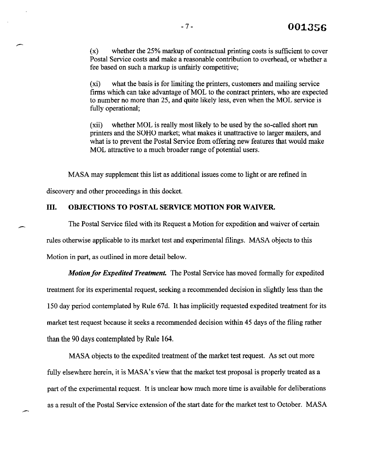$(x)$  whether the 25% markup of contractual printing costs is sufficient to cover Postal Service costs and make a reasonable contribution to overhead, or whether a fee based on such a markup is unfairly competitive;

 $(x_i)$  what the basis is for limiting the printers, customers and mailing service firms which can take advantage of MOL to the contract printers, who are expected to number no more than 25, and quite likely less, even when the MOL service is fully operational;

(xii) whether MOL is really most likely to be used by the so-called short run printers and the SOHO market; what makes it unattractive to larger mailers, and what is to prevent the Postal Service from offering new features that would make MOL attractive to a much broader range of potential users.

MASA may supplement this list as additional issues come to light or are refined in

discovery and other proceedings in this docket.

### III. OBJECTIONS TO POSTAL SERVICE MOTION FOR WAIVER.

The Postal Service tiled with its Request a Motion for expedition and waiver of certain rules otherwise applicable to its market test and experimental filings. MASA objects to this Motion in part, as outlined in more detail below.

Motion for Expedited Treatment. The Postal Service has moved formally for expedited treatment for its experimental request, seeking a recommended decision in slightly less than the 150 day period contemplated by Rule 67d. It has implicitly requested expedited treatment for its market test request because it seeks a recommended decision within 45 days of the filing rather than the 90 days contemplated by Rule 164.

MASA objects to the expedited treatment of the market test request. As set out more fully elsewhere herein, it is MASA's view that the market test proposal is properly treated as a part of the experimental request, It is unclear how much more time is available for deliberations as a result of the Postal Service extension of the start date for the market test to October. MASA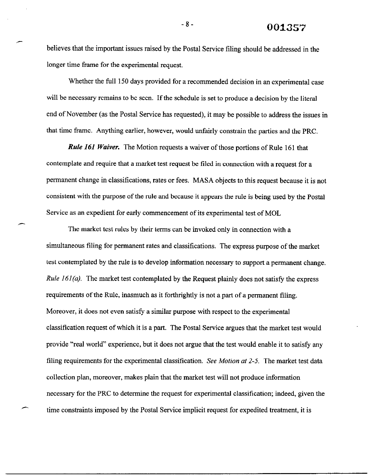believes that the important issues raised by the Postal Service filing should be addressed in the longer time frame for the experimental request.

Whether the full 150 days provided for a recommended decision in an experimental case will be necessary remains to be seen. If the schedule is set to produce a decision by the literal end of November (as the Postal Service has requested), it may be possible to address the issues in that time frame. Anything earlier, however, would unfairly constrain the parties and the PRC.

**Rule 161 Waiver.** The Motion requests a waiver of those portions of Rule 161 that contemplate and require that a market test request be filed in connection with a request for a permanent change in classifications, rates or fees. MASA objects to this request because it is not consistent with the purpose of the rule and because it appears the rule is being used by the Postal Service as an expedient for early commencement of its experimental test of MOL

The market test rules by their terms can be invoked only in connection with a simultaneous riling for permanent rates and classifications. The express purpose of the market test contemplated by the rule is to develop information necessary to support a permanent change. *Rule 161(a).* The market test contemplated by the Request plainly does not satisfy the express requirements of the Rule, inasmuch as it forthrightly is not a part of a permanent filing. Moreover, it does not even satisfy a similar purpose with respect to the experimental classification request of which it is a part. The Postal Service argues that the market test would provide "real world" experience, but it does not argue that the test would enable it to satisfy any filing requirements for the experimental classification. See Motion at  $2-5$ . The market test data collection plan, moreover, makes plain that the market test will not produce information necessary for the PRC to determine the request for experimental classification; indeed, given the time constraints imposed by the Postal Service implicit request for expedited treatment, it is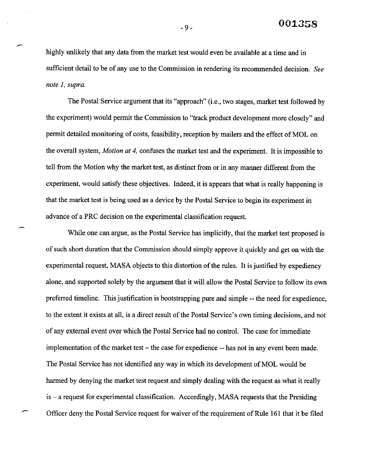highly unlikely that any data from the market test would even be available at a time and in sufficient detail to be of any use to the Commission in rendering its recommended decision. See note 1, supra.

The Postal Service argument that its "approach" (i.e., two stages, market test followed by the experiment) would permit the Commission to "track product development more closely" and permit detailed monitoring of costs, feasibility, reception by mailers and the effect of MOL on the overall system, *Motion at 4*, confuses the market test and the experiment. It is impossible to tell from the Motion why the market test, as distinct from or in any manner different from the experiment, would satisfy these objectives. Indeed, it is appears that what is really happening is that the market test is being used as a device by the Postal Service to begin its experiment in advance of a PRC decision on the experimental classification request.

While one can argue, as the Postal Service has implicitly, that the market test proposed is of such short duration that the Commission should simply approve it quickly and get on with the experimental request, MASA objects to this distortion of the rules. It is justified by expediency alone, and supported solely by the argument that it will allow the Postal Service to follow its own preferred timeline. This justification is bootstrapping pure and simple -- the need for expedience, to the extent it exists at all, is a direct result of the Postal Service's own timing decisions, and not of any external event over which the Postal Service had no control. The case for immediate implementation of the market test  $-$  the case for expedience  $-$ - has not in any event been made. The Postal Service has not identified any way in which its development of MOL would be harmed by denying the market test request and simply dealing with the request as what it really is - a request for experimental classification. Accordingly, MASA requests that the Presiding Officer deny the Postal Service request for waiver of the requirement of Rule 161 that it be filed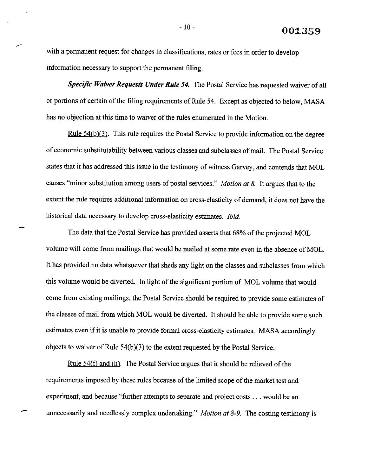with a permanent request for changes in classifications, rates or fees in order to develop information necessary to support the permanent tiling.

Specific Waiver Requests Under Rule 54. The Postal Service has requested waiver of all or portions of certain of the tiling requirements of Rule 54. Except as objected to below, MASA has no objection at this time to waiver of the rules enumerated in the Motion.

Rule  $54(b)(3)$ . This rule requires the Postal Service to provide information on the degree of economic substitutability between various classes and subclasses of mail. The Postal Service states that it has addressed this issue in the testimony of witness Garvey, and contends that MOL causes "minor substitution among users of postal services." Motion at 8. It argues that to the extent the rule requires additional information on cross-elasticity of demand, it does not have the historical data necessary to develop cross-elasticity estimates. Ibid.

The data that the Postal Service has provided asserts that 68% of the projected MOL volume will come from mailings that would be mailed at some rate even in the absence of MOL. It has provided no data whatsoever that sheds any light on the classes and subclasses from which this volume would be diverted. In light of the significant portion of MOL volume that would come from existing mailings, the Postal Service should be required to provide some estimates of the classes of mail from which MOL would be diverted. It should be able to provide some such estimates even if it is unable to provide formal cross-elasticity estimates. MASA accordingly objects to waiver of Rule 54(b)(3) to the extent requested by the Postal Service.

<u>Rule 54(f)</u> and (h). The Postal Service argues that it should be relieved of the requirements imposed by these rules because of the limited scope of the market test and experiment, and because "further attempts to separate and project costs  $\dots$  would be an unnecessarily and needlessly complex undertaking." *Motion at 8-9*. The costing testimony is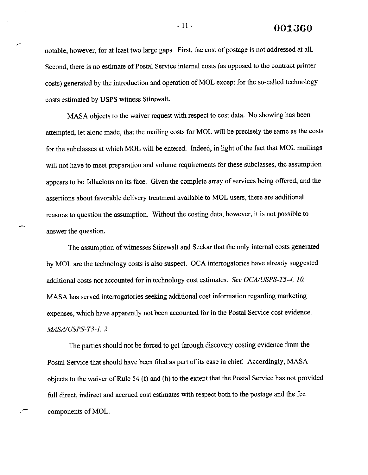$-11-$  001360

notable, however, for at least two large gaps. First, the cost of postage is not addressed at all. Second, there is no estimate of Postal Service internal costs (as opposed to the contract printer costs) generated by the introduction and operation of MOL except for the so-called technology costs estimated by USPS witness Stirewah.

MASA objects to the waiver request with respect to cost data. No showing has been attempted, let alone made, that the mailing costs for MOL will be precisely the same as the costs for the subclasses at which MOL will be entered. Indeed, in light of the fact that MOL mailings will not have to meet preparation and volume requirements for these subclasses, the assumption appears to be fallacious on its face. Given the complete array of services being offered, and the assertions about favorable delivery treatment available to MOL users, there are additional reasons to question the assumption. Without the costing data, however, it is not possible to answer the question.

The assumption of witnesses Stirewalt and Seckar that the only internal costs generated by MOL are the technology costs is also suspect. OCA interrogatories have already suggested additional costs not accounted for in technology cost estimates. See  $OCA/USPS-T5-4$ , 10. MASA has served interrogatories seeking additional cost information regarding marketing expenses, which have apparently not been accounted for in the Postal Service cost evidence. MASA/USPS-T3-1, 2.

The parties should not be forced to get through discovery costing evidence from the Postal Service that should have been filed as part of its case in chief. Accordingly, MASA objects to the waiver of Rule 54 (f) and (h) to the extent that the Postal Service has not provided full direct, indirect and accrued cost estimates with respect both to the postage and the fee components of MOL.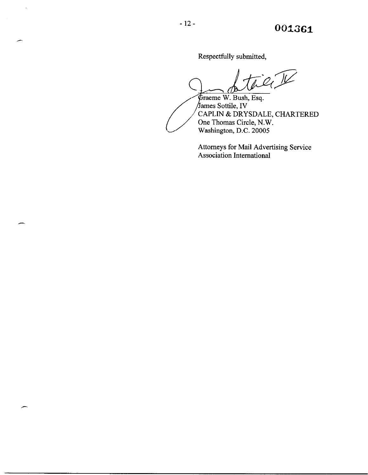Respectfully submitted,

James Sottile, IV<br>CAPLIN & DRYSDAL<br>One Thomas Circle, N.<br>Washington, D.C. 2000: Graeme W. Bush, Esq.<br>James Sottile, IV<br>CAPLIN & DRYSDALE, CHARTERED One Thomas Circle, N.W. Washington, D.C. 20005

Attorneys for Mail Advertising Service Association International

 $\hat{\mathcal{A}}$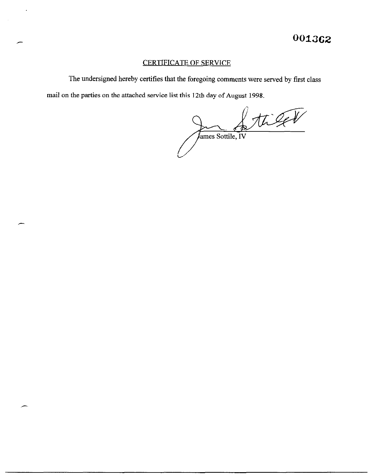# CERTIFICATE OF SERVICE

 $\epsilon$ 

The undersigned hereby certifies that the foregoing comments were served by first class mail on the parties on the attached service list this 12th day of August 1998.

tiget James Sottile, IV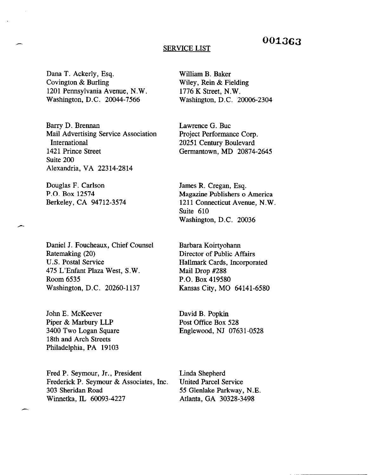# 0013G3

#### SERVICE LIST

Dana T. Ackerly, Esq. Covington & Burling 1201 Pennsylvania Avenue, N.W. Washington, D.C. 20044-7566

Barry D. Brennan Mail Advertising Service Association International 1421 Prince Street Suite 200 Alexandria, VA 22314-2814

Douglas F. Carlson P.O. Box 12574 Berkeley, CA 94712-3574

Daniel J. Foucheaux, Chief Counsel Ratemaking (20) U.S. Postal Service 475 L'Enfant Plaza West, S.W. Room 6535 Washington, D.C. 20260-1137

John E. McKeever Piper & Marbury LLP 3400 Two Logan Square 18th and Arch Streets Philadelphia, PA 19103

Fred P. Seymour, Jr., President Frederick P. Seymour & Associates, Inc. 303 Sheridan Road Winnetka, IL 60093-4227

William B. Baker Wiley, Rein & Fielding 1776 K Street, N.W. Washington, D.C. 20006-2304

Lawrence G. Buc Project Performance Corp. 20251 Century Boulevard Germantown, MD 20874-2645

James R. Cregan, Esq. Magazine Publishers o America 1211 Connecticut Avenue, N.W. Suite 610 Washington, D.C. 20036

Barbara Koirtyohamr Director of Public Affairs Hallmark Cards, Incorporated Mail Drop #288 P.O. Box 419580 Kansas City, MO 64141-6580

David B. Popkin Post Office Box 528 Englewood, NJ 07631-0528

Linda Shepherd United Parcel Service 55 Glenlake Parkway, N.E. Atlanta, GA 30328-3498